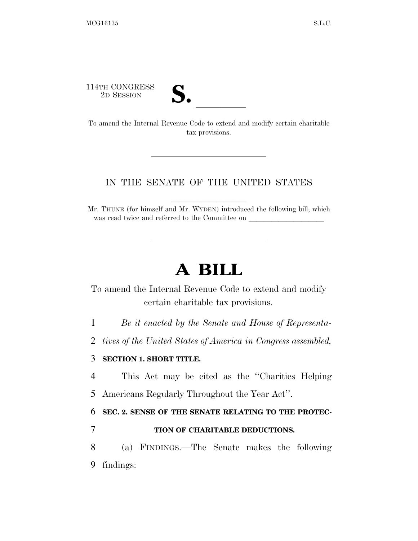114TH CONGRESS



114TH CONGRESS<br>
2D SESSION<br>
To amend the Internal Revenue Code to extend and modify certain charitable tax provisions.

### IN THE SENATE OF THE UNITED STATES

Mr. THUNE (for himself and Mr. WYDEN) introduced the following bill; which was read twice and referred to the Committee on

# **A BILL**

To amend the Internal Revenue Code to extend and modify certain charitable tax provisions.

1 *Be it enacted by the Senate and House of Representa-*

2 *tives of the United States of America in Congress assembled,* 

#### 3 **SECTION 1. SHORT TITLE.**

4 This Act may be cited as the ''Charities Helping 5 Americans Regularly Throughout the Year Act''.

6 **SEC. 2. SENSE OF THE SENATE RELATING TO THE PROTEC-**

#### 7 **TION OF CHARITABLE DEDUCTIONS.**

8 (a) FINDINGS.—The Senate makes the following 9 findings: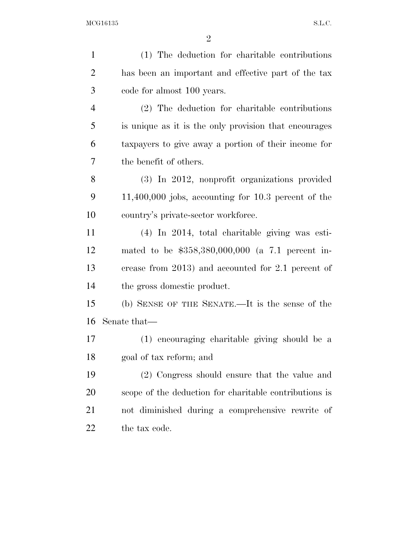| $\mathbf{1}$   | (1) The deduction for charitable contributions         |
|----------------|--------------------------------------------------------|
| $\overline{2}$ | has been an important and effective part of the tax    |
| 3              | code for almost 100 years.                             |
| $\overline{4}$ | (2) The deduction for charitable contributions         |
| 5              | is unique as it is the only provision that encourages  |
| 6              | taxpayers to give away a portion of their income for   |
| 7              | the benefit of others.                                 |
| 8              | (3) In 2012, nonprofit organizations provided          |
| 9              | $11,400,000$ jobs, accounting for 10.3 percent of the  |
| 10             | country's private-sector workforce.                    |
| 11             | $(4)$ In 2014, total charitable giving was esti-       |
| 12             | mated to be $$358,380,000,000$ (a 7.1 percent in-      |
| 13             | crease from $2013$ ) and accounted for 2.1 percent of  |
| 14             | the gross domestic product.                            |
| 15             | (b) SENSE OF THE SENATE.—It is the sense of the        |
| 16             | Senate that—                                           |
| 17             | (1) encouraging charitable giving should be a          |
| 18             | goal of tax reform; and                                |
| 19             | (2) Congress should ensure that the value and          |
| 20             | scope of the deduction for charitable contributions is |
| 21             | not diminished during a comprehensive rewrite of       |
| 22             | the tax code.                                          |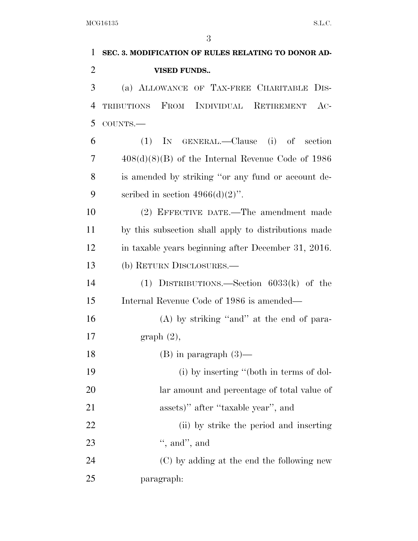| $\mathbf{1}$   | SEC. 3. MODIFICATION OF RULES RELATING TO DONOR AD-  |
|----------------|------------------------------------------------------|
| $\overline{2}$ | <b>VISED FUNDS</b>                                   |
| 3              | (a) ALLOWANCE OF TAX-FREE CHARITABLE DIS-            |
| 4              | TRIBUTIONS FROM INDIVIDUAL RETIREMENT<br>$AC-$       |
| 5              | COUNTS.-                                             |
| 6              | IN GENERAL.—Clause (i) of section<br>(1)             |
| 7              | $408(d)(8)(B)$ of the Internal Revenue Code of 1986  |
| 8              | is amended by striking "or any fund or account de-   |
| 9              | scribed in section $4966(d)(2)$ ".                   |
| 10             | (2) EFFECTIVE DATE.—The amendment made               |
| 11             | by this subsection shall apply to distributions made |
| 12             | in taxable years beginning after December 31, 2016.  |
| 13             | (b) RETURN DISCLOSURES.—                             |
| 14             | (1) DISTRIBUTIONS.—Section $6033(k)$ of the          |
| 15             | Internal Revenue Code of 1986 is amended—            |
| 16             | $(A)$ by striking "and" at the end of para-          |
| 17             | graph(2),                                            |
| 18             | $(B)$ in paragraph $(3)$                             |
| 19             | (i) by inserting "(both in terms of dol-             |
| 20             | lar amount and percentage of total value of          |
| 21             | assets)" after "taxable year", and                   |
| 22             | (ii) by strike the period and inserting              |
| 23             | ", and", and                                         |
| 24             | (C) by adding at the end the following new           |
| 25             | paragraph:                                           |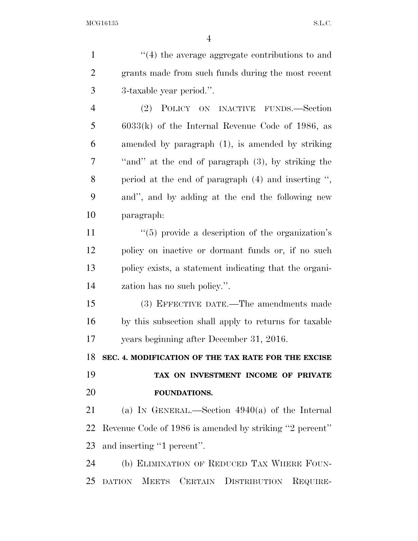| $\mathbf{1}$   | $"$ (4) the average aggregate contributions to and      |
|----------------|---------------------------------------------------------|
| $\overline{2}$ | grants made from such funds during the most recent      |
| 3              | 3-taxable year period.".                                |
| 4              | (2)<br>POLICY ON INACTIVE FUNDS.—Section                |
| 5              | $6033(k)$ of the Internal Revenue Code of 1986, as      |
| 6              | amended by paragraph (1), is amended by striking        |
| 7              | "and" at the end of paragraph (3), by striking the      |
| 8              | period at the end of paragraph $(4)$ and inserting ",   |
| 9              | and", and by adding at the end the following new        |
| 10             | paragraph:                                              |
| 11             | $\lq(5)$ provide a description of the organization's    |
| 12             | policy on inactive or dormant funds or, if no such      |
| 13             | policy exists, a statement indicating that the organi-  |
| 14             | zation has no such policy.".                            |
| 15             | (3) EFFECTIVE DATE.—The amendments made                 |
| 16             | by this subsection shall apply to returns for taxable   |
| 17             | years beginning after December 31, 2016.                |
| 18             | SEC. 4. MODIFICATION OF THE TAX RATE FOR THE EXCISE     |
| 19             | TAX ON INVESTMENT INCOME OF PRIVATE                     |
| 20             | FOUNDATIONS.                                            |
| 21             | (a) IN GENERAL.—Section $4940(a)$ of the Internal       |
| 22             | Revenue Code of 1986 is amended by striking "2 percent" |
| 23             | and inserting "1 percent".                              |
| 24             | (b) ELIMINATION OF REDUCED TAX WHERE FOUN-              |
| 25             | DATION MEETS CERTAIN DISTRIBUTION REQUIRE-              |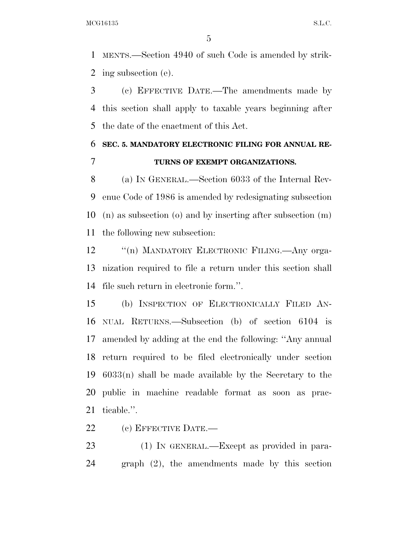MENTS.—Section 4940 of such Code is amended by strik-ing subsection (e).

 (c) EFFECTIVE DATE.—The amendments made by this section shall apply to taxable years beginning after the date of the enactment of this Act.

## **SEC. 5. MANDATORY ELECTRONIC FILING FOR ANNUAL RE-TURNS OF EXEMPT ORGANIZATIONS.**

 (a) IN GENERAL.—Section 6033 of the Internal Rev- enue Code of 1986 is amended by redesignating subsection (n) as subsection (o) and by inserting after subsection (m) the following new subsection:

12 "(n) MANDATORY ELECTRONIC FILING.—Any orga- nization required to file a return under this section shall file such return in electronic form.''.

 (b) INSPECTION OF ELECTRONICALLY FILED AN- NUAL RETURNS.—Subsection (b) of section 6104 is amended by adding at the end the following: ''Any annual return required to be filed electronically under section 6033(n) shall be made available by the Secretary to the public in machine readable format as soon as prac-ticable.''.

(c) EFFECTIVE DATE.—

 (1) IN GENERAL.—Except as provided in para-graph (2), the amendments made by this section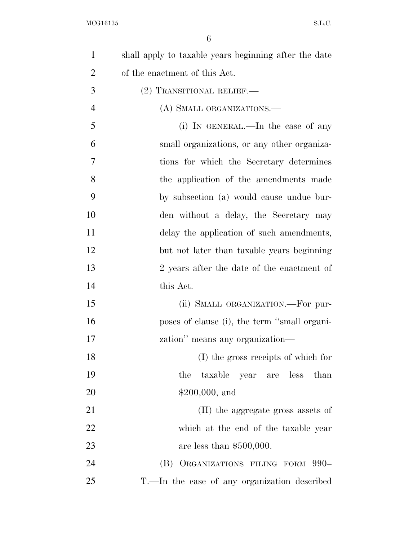| $\mathbf{1}$   | shall apply to taxable years beginning after the date |
|----------------|-------------------------------------------------------|
| $\overline{2}$ | of the enactment of this Act.                         |
| 3              | (2) TRANSITIONAL RELIEF.—                             |
| $\overline{4}$ | (A) SMALL ORGANIZATIONS.—                             |
| 5              | (i) IN GENERAL.—In the case of any                    |
| 6              | small organizations, or any other organiza-           |
| 7              | tions for which the Secretary determines              |
| 8              | the application of the amendments made                |
| 9              | by subsection (a) would cause undue bur-              |
| 10             | den without a delay, the Secretary may                |
| 11             | delay the application of such amendments,             |
| 12             | but not later than taxable years beginning            |
| 13             | 2 years after the date of the enactment of            |
| 14             | this Act.                                             |
| 15             | (ii) SMALL ORGANIZATION.—For pur-                     |
| 16             | poses of clause (i), the term "small organi-          |
| 17             | zation" means any organization—                       |
| 18             | (I) the gross receipts of which for                   |
| 19             | the<br>taxable year are less than                     |
| 20             | $$200,000, \text{ and}$                               |
| 21             | (II) the aggregate gross assets of                    |
| 22             | which at the end of the taxable year                  |
| 23             | are less than $$500,000$ .                            |
| 24             | (B) ORGANIZATIONS FILING FORM 990-                    |
| 25             | T.—In the case of any organization described          |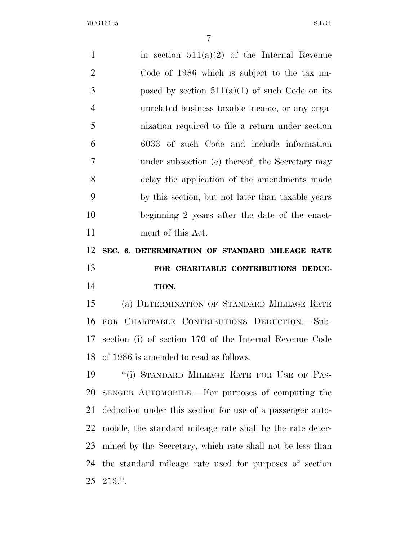1 in section  $511(a)(2)$  of the Internal Revenue Code of 1986 which is subject to the tax im-3 posed by section  $511(a)(1)$  of such Code on its unrelated business taxable income, or any orga- nization required to file a return under section 6033 of such Code and include information under subsection (e) thereof, the Secretary may delay the application of the amendments made by this section, but not later than taxable years beginning 2 years after the date of the enact- ment of this Act. **SEC. 6. DETERMINATION OF STANDARD MILEAGE RATE FOR CHARITABLE CONTRIBUTIONS DEDUC- TION.**  (a) DETERMINATION OF STANDARD MILEAGE RATE FOR CHARITABLE CONTRIBUTIONS DEDUCTION.—Sub- section (i) of section 170 of the Internal Revenue Code of 1986 is amended to read as follows: 19 <sup>"</sup>(i) STANDARD MILEAGE RATE FOR USE OF PAS- SENGER AUTOMOBILE.—For purposes of computing the deduction under this section for use of a passenger auto- mobile, the standard mileage rate shall be the rate deter- mined by the Secretary, which rate shall not be less than the standard mileage rate used for purposes of section 213.''.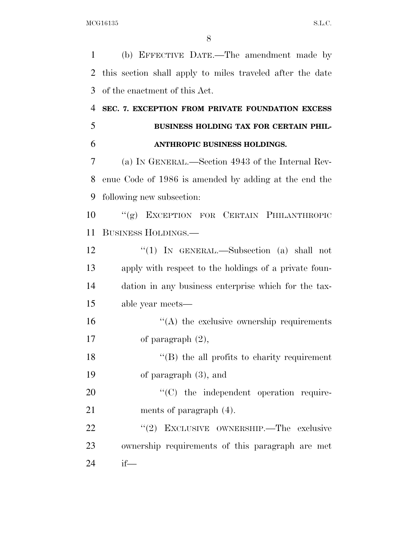(b) EFFECTIVE DATE.—The amendment made by this section shall apply to miles traveled after the date of the enactment of this Act. **SEC. 7. EXCEPTION FROM PRIVATE FOUNDATION EXCESS BUSINESS HOLDING TAX FOR CERTAIN PHIL- ANTHROPIC BUSINESS HOLDINGS.**  (a) IN GENERAL.—Section 4943 of the Internal Rev- enue Code of 1986 is amended by adding at the end the following new subsection: ''(g) EXCEPTION FOR CERTAIN PHILANTHROPIC BUSINESS HOLDINGS.— ''(1) IN GENERAL.—Subsection (a) shall not apply with respect to the holdings of a private foun- dation in any business enterprise which for the tax- able year meets—  $\langle A \rangle$  the exclusive ownership requirements

of paragraph (2),

18 ''(B) the all profits to charity requirement of paragraph (3), and

20  $\cdot$  (C) the independent operation require-ments of paragraph (4).

22 "(2) EXCLUSIVE OWNERSHIP.—The exclusive ownership requirements of this paragraph are met if—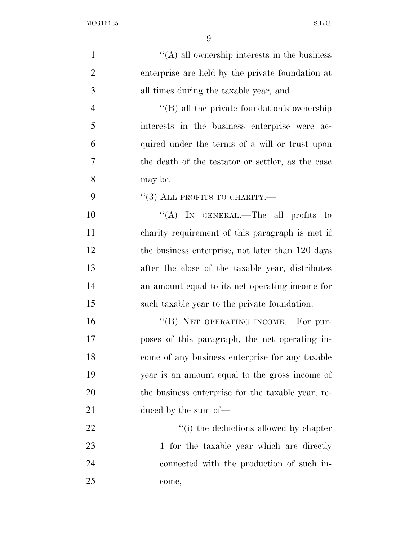| $\mathbf{1}$   | $\lq\lq$ all ownership interests in the business    |
|----------------|-----------------------------------------------------|
| $\overline{2}$ | enterprise are held by the private foundation at    |
| 3              | all times during the taxable year, and              |
| $\overline{4}$ | $\lq\lq (B)$ all the private foundation's ownership |
| 5              | interests in the business enterprise were ac-       |
| 6              | quired under the terms of a will or trust upon      |
| 7              | the death of the testator or settlor, as the case   |
| 8              | may be.                                             |
| 9              | $\lq(3)$ ALL PROFITS TO CHARITY.—                   |
| 10             | "(A) IN GENERAL.—The all profits to                 |
| 11             | charity requirement of this paragraph is met if     |
| 12             | the business enterprise, not later than 120 days    |
| 13             | after the close of the taxable year, distributes    |
| 14             | an amount equal to its net operating income for     |
| 15             | such taxable year to the private foundation.        |
| 16             | "(B) NET OPERATING INCOME.—For pur-                 |
| 17             | poses of this paragraph, the net operating in-      |
| 18             | come of any business enterprise for any taxable     |
| 19             | year is an amount equal to the gross income of      |
| 20             | the business enterprise for the taxable year, re-   |
| 21             | duced by the sum of—                                |
| 22             | "(i) the deductions allowed by chapter              |
| 23             | 1 for the taxable year which are directly           |
| 24             | connected with the production of such in-           |
| 25             | come,                                               |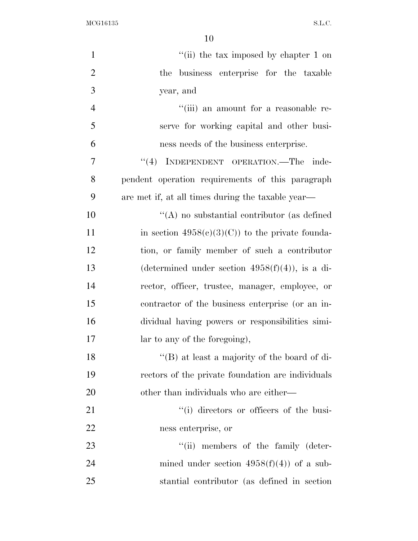| $\mathbf{1}$   | "(ii) the tax imposed by chapter 1 on              |
|----------------|----------------------------------------------------|
| $\overline{2}$ | the business enterprise for the taxable            |
| 3              | year, and                                          |
| $\overline{4}$ | "(iii) an amount for a reasonable re-              |
| 5              | serve for working capital and other busi-          |
| 6              | ness needs of the business enterprise.             |
| 7              | "(4) INDEPENDENT OPERATION.—The inde-              |
| 8              | pendent operation requirements of this paragraph   |
| 9              | are met if, at all times during the taxable year—  |
| 10             | $\lq\lq$ no substantial contributor (as defined    |
| 11             | in section $4958(c)(3)(C)$ to the private founda-  |
| 12             | tion, or family member of such a contributor       |
| 13             | (determined under section $4958(f)(4)$ ), is a di- |
| 14             | rector, officer, trustee, manager, employee, or    |
| 15             | contractor of the business enterprise (or an in-   |
| 16             | dividual having powers or responsibilities simi-   |
| 17             | lar to any of the foregoing),                      |
| 18             | "(B) at least a majority of the board of di-       |
| 19             | rectors of the private foundation are individuals  |
| 20             | other than individuals who are either—             |
| 21             | "(i) directors or officers of the busi-            |
| <u>22</u>      | ness enterprise, or                                |
| 23             | "(ii) members of the family (deter-                |
| 24             | mined under section $4958(f)(4)$ of a sub-         |
| 25             | stantial contributor (as defined in section)       |